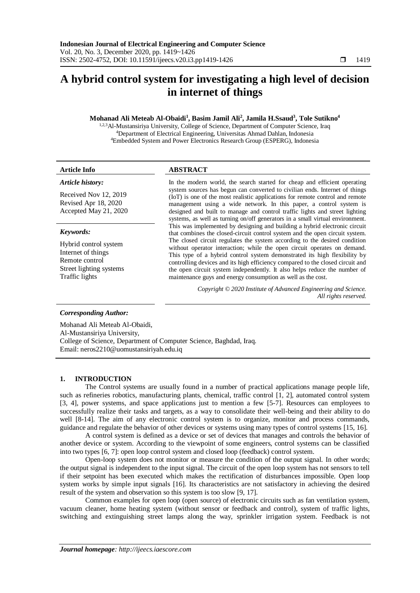# **A hybrid control system for investigating a high level of decision in internet of things**

# **Mohanad Ali Meteab Al-Obaidi<sup>1</sup> , Basim Jamil Ali<sup>2</sup> , Jamila H.Ssaud<sup>3</sup> , Tole Sutikno<sup>4</sup>**

1,2,3Al-Mustansiriya University, College of Science, Department of Computer Science, Iraq <sup>4</sup>Department of Electrical Engineering, Universitas Ahmad Dahlan, Indonesia <sup>4</sup>Embedded System and Power Electronics Research Group (ESPERG), Indonesia

### *Article history:*

Received Nov 12, 2019 Revised Apr 18, 2020 Accepted May 21, 2020

# *Keywords:*

Hybrid control system Internet of things Remote control Street lighting systems Traffic lights

# **Article Info ABSTRACT**

In the modern world, the search started for cheap and efficient operating system sources has begun can converted to civilian ends. Internet of things (IoT) is one of the most realistic applications for remote control and remote management using a wide network. In this paper, a control system is designed and built to manage and control traffic lights and street lighting systems, as well as turning on/off generators in a small virtual environment. This was implemented by designing and building a hybrid electronic circuit that combines the closed-circuit control system and the open circuit system. The closed circuit regulates the system according to the desired condition without operator interaction; while the open circuit operates on demand. This type of a hybrid control system demonstrated its high flexibility by controlling devices and its high efficiency compared to the closed circuit and the open circuit system independently. It also helps reduce the number of maintenance guys and energy consumption as well as the cost.

> *Copyright © 2020 Institute of Advanced Engineering and Science. All rights reserved.*

# *Corresponding Author:*

Mohanad Ali Meteab Al-Obaidi, Al-Mustansiriya University, College of Science, Department of Computer Science, Baghdad, Iraq. Email: neros2210@uomustansiriyah.edu.iq

### **1. INTRODUCTION**

The Control systems are usually found in a number of practical applications manage people life, such as refineries robotics, manufacturing plants, chemical, traffic control [\[1,](#page-6-0) [2\]](#page-6-1), automated control system [\[3,](#page-6-2) [4\]](#page-6-3), power systems, and space applications just to mention a few [\[5-7\]](#page-6-4). Resources can employees to successfully realize their tasks and targets, as a way to consolidate their well-being and their ability to do well [\[8-14\]](#page-6-5). The aim of any electronic control system is to organize, monitor and process commands, guidance and regulate the behavior of other devices or systems using many types of control systems [\[15,](#page-6-6) [16\]](#page-6-7).

A control system is defined as a device or set of devices that manages and controls the behavior of another device or system. According to the viewpoint of some engineers, control systems can be classified into two types [\[6,](#page-6-8) [7\]](#page-6-9): open loop control system and closed loop (feedback) control system.

Open-loop system does not monitor or measure the condition of the output signal. In other words; the output signal is independent to the input signal. The circuit of the open loop system has not sensors to tell if their setpoint has been executed which makes the rectification of disturbances impossible. Open loop system works by simple input signals [\[16\]](#page-6-7). Its characteristics are not satisfactory in achieving the desired result of the system and observation so this system is too slow [\[9,](#page-6-10) [17\]](#page-6-11).

Common examples for open loop (open source) of electronic circuits such as fan ventilation system, vacuum cleaner, home heating system (without sensor or feedback and control), system of traffic lights, switching and extinguishing street lamps along the way, sprinkler irrigation system. Feedback is not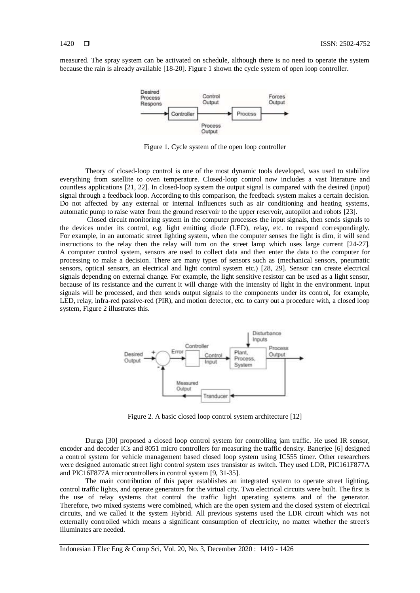measured. The spray system can be activated on schedule, although there is no need to operate the system because the rain is already available [\[18-20\]](#page-6-12). Figure 1 shown the cycle system of open loop controller.



Figure 1. Cycle system of the open loop controller

Theory of closed-loop control is one of the most dynamic tools developed, was used to stabilize everything from satellite to oven temperature. Closed-loop control now includes a vast literature and countless applications [\[21,](#page-6-13) [22\]](#page-6-14). In closed-loop system the output signal is compared with the desired (input) signal through a feedback loop. According to this comparison, the feedback system makes a certain decision. Do not affected by any external or internal influences such as air conditioning and heating systems, automatic pump to raise water from the ground reservoir to the upper reservoir, autopilot and robots [\[23\]](#page-6-15).

Closed circuit monitoring system in the computer processes the input signals, then sends signals to the devices under its control, e.g. light emitting diode (LED), relay, etc. to respond correspondingly. For example, in an automatic street lighting system, when the computer senses the light is dim, it will send instructions to the relay then the relay will turn on the street lamp which uses large current [\[24-27\]](#page-7-0). A computer control system, sensors are used to collect data and then enter the data to the computer for processing to make a decision. There are many types of sensors such as (mechanical sensors, pneumatic sensors, optical sensors, an electrical and light control system etc.) [\[28,](#page-7-1) [29\]](#page-7-2). Sensor can create electrical signals depending on external change. For example, the light sensitive resistor can be used as a light sensor, because of its resistance and the current it will change with the intensity of light in the environment. Input signals will be processed, and then sends output signals to the components under its control, for example, LED, relay, infra-red passive-red (PIR), and motion detector, etc. to carry out a procedure with, a closed loop system, Figure 2 illustrates this.



Figure 2. A basic closed loop control system architecture [12]

Durga [\[30\]](#page-7-3) proposed a closed loop control system for controlling jam traffic. He used IR sensor, encoder and decoder ICs and 8051 micro controllers for measuring the traffic density. Banerjee [\[6\]](#page-6-8) designed a control system for vehicle management based closed loop system using IC555 timer. Other researchers were designed automatic street light control system uses transistor as switch. They used LDR, PIC161F877A and PIC16F877A microcontrollers in control system [\[9,](#page-6-10) [31-35\]](#page-7-4).

The main contribution of this paper establishes an integrated system to operate street lighting, control traffic lights, and operate generators for the virtual city. Two electrical circuits were built. The first is the use of relay systems that control the traffic light operating systems and of the generator. Therefore, two mixed systems were combined, which are the open system and the closed system of electrical circuits, and we called it the system Hybrid. All previous systems used the LDR circuit which was not externally controlled which means a significant consumption of electricity, no matter whether the street's illuminates are needed.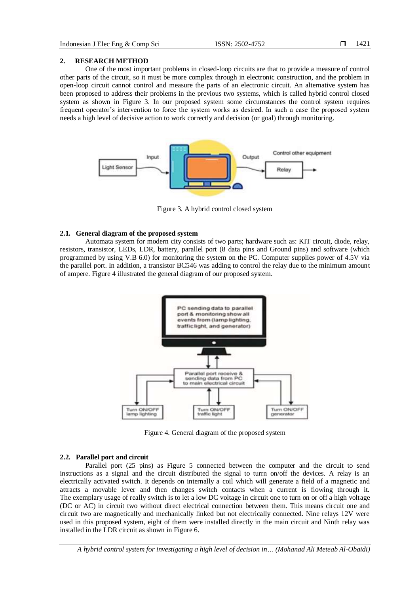#### **2. RESEARCH METHOD**

One of the most important problems in closed-loop circuits are that to provide a measure of control other parts of the circuit, so it must be more complex through in electronic construction, and the problem in open-loop circuit cannot control and measure the parts of an electronic circuit. An alternative system has been proposed to address their problems in the previous two systems, which is called hybrid control closed system as shown in Figure 3. In our proposed system some circumstances the control system requires frequent operator's intervention to force the system works as desired. In such a case the proposed system needs a high level of decisive action to work correctly and decision (or goal) through monitoring.



Figure 3. A hybrid control closed system

#### **2.1. General diagram of the proposed system**

Automata system for modern city consists of two parts; hardware such as: KIT circuit, diode, relay, resistors, transistor, LEDs, LDR, battery, parallel port (8 data pins and Ground pins) and software (which programmed by using V.B 6.0) for monitoring the system on the PC. Computer supplies power of 4.5V via the parallel port. In addition, a transistor BC546 was adding to control the relay due to the minimum amount of ampere. Figure 4 illustrated the general diagram of our proposed system.



Figure 4. General diagram of the proposed system

### **2.2. Parallel port and circuit**

Parallel port (25 pins) as Figure 5 connected between the computer and the circuit to send instructions as a signal and the circuit distributed the signal to turrn on/off the devices. A relay is an electrically activated switch. It depends on internally a coil which will generate a field of a magnetic and attracts a movable lever and then changes switch contacts when a current is flowing through it. The exemplary usage of really switch is to let a low DC voltage in circuit one to turn on or off a high voltage (DC or AC) in circuit two without direct electrical connection between them. This means circuit one and circuit two are magnetically and mechanically linked but not electrically connected. Nine relays 12V were used in this proposed system, eight of them were installed directly in the main circuit and Ninth relay was installed in the LDR circuit as shown in Figure 6.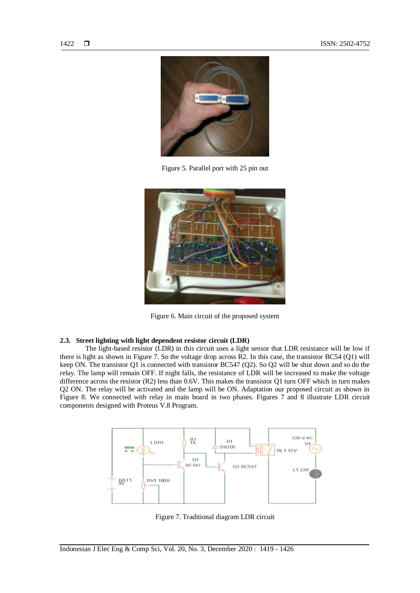

Figure 5. Parallel port with 25 pin out



Figure 6. Main circuit of the proposed system

# **2.3. Street lighting with light dependent resistor circuit (LDR)**

The light-based resistor (LDR) in this circuit uses a light sensor that LDR resistance will be low if there is light as shown in Figure 7. So the voltage drop across R2. In this case, the transistor BC54 (Q1) will keep ON. The transistor Q1 is connected with transistor BC547 (Q2). So Q2 will be shut down and so do the relay. The lamp will remain OFF. If night falls, the resistance of LDR will be increased to make the voltage difference across the resistor (R2) less than 0.6V. This makes the transistor Q1 turn OFF which in turn makes Q2 ON. The relay will be activated and the lamp will be ON. Adaptation our proposed circuit as shown in Figure 8. We connected with relay in main board in two phases. Figures 7 and 8 illustrate LDR circuit components designed with Proteus V.8 Program.



Figure 7. Traditional diagram LDR circuit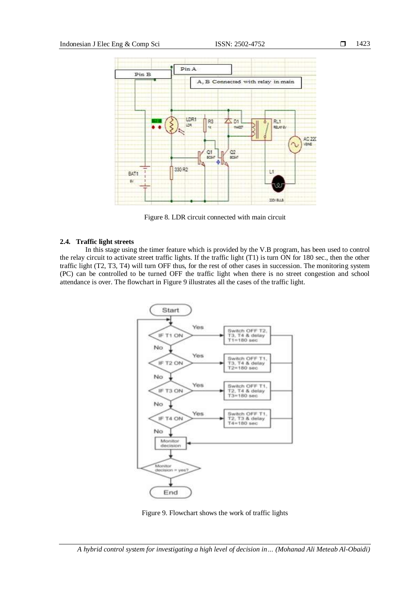

Figure 8. LDR circuit connected with main circuit

# **2.4. Traffic light streets**

In this stage using the timer feature which is provided by the V.B program, has been used to control the relay circuit to activate street traffic lights. If the traffic light (T1) is turn ON for 180 sec., then the other traffic light (T2, T3, T4) will turn OFF thus, for the rest of other cases in succession. The monitoring system (PC) can be controlled to be turned OFF the traffic light when there is no street congestion and school attendance is over. The flowchart in Figure 9 illustrates all the cases of the traffic light.



Figure 9. Flowchart shows the work of traffic lights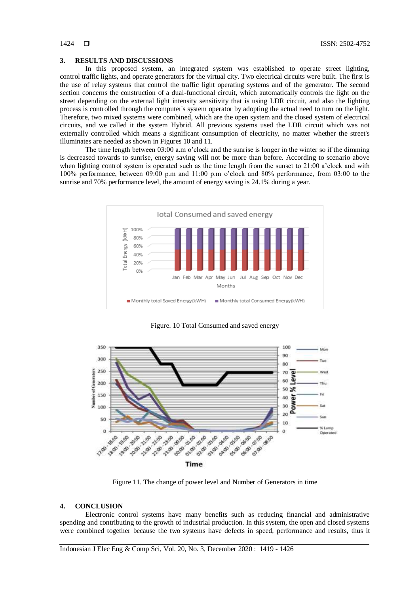# **3. RESULTS AND DISCUSSIONS**

In this proposed system, an integrated system was established to operate street lighting, control traffic lights, and operate generators for the virtual city. Two electrical circuits were built. The first is the use of relay systems that control the traffic light operating systems and of the generator. The second section concerns the construction of a dual-functional circuit, which automatically controls the light on the street depending on the external light intensity sensitivity that is using LDR circuit, and also the lighting process is controlled through the computer's system operator by adopting the actual need to turn on the light. Therefore, two mixed systems were combined, which are the open system and the closed system of electrical circuits, and we called it the system Hybrid. All previous systems used the LDR circuit which was not externally controlled which means a significant consumption of electricity, no matter whether the street's illuminates are needed as shown in Figures 10 and 11.

The time length between 03:00 a.m o'clock and the sunrise is longer in the winter so if the dimming is decreased towards to sunrise, energy saving will not be more than before. According to scenario above when lighting control system is operated such as the time length from the sunset to 21:00 a'clock and with 100% performance, between 09:00 p.m and 11:00 p.m o'clock and 80% performance, from 03:00 to the sunrise and 70% performance level, the amount of energy saving is 24.1% during a year.



Figure. 10 Total Consumed and saved energy



Figure 11. The change of power level and Number of Generators in time

#### **4. CONCLUSION**

Electronic control systems have many benefits such as reducing financial and administrative spending and contributing to the growth of industrial production. In this system, the open and closed systems were combined together because the two systems have defects in speed, performance and results, thus it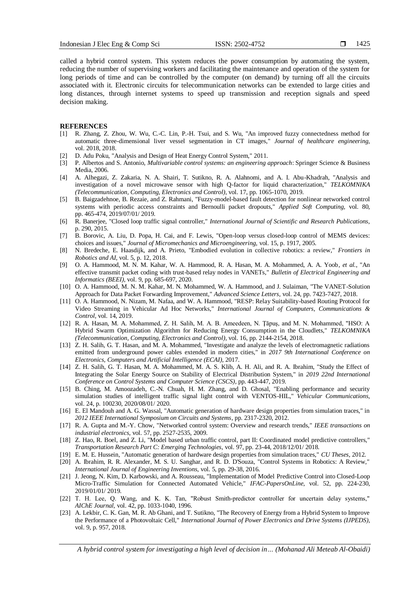called a hybrid control system. This system reduces the power consumption by automating the system, reducing the number of supervising workers and facilitating the maintenance and operation of the system for long periods of time and can be controlled by the computer (on demand) by turning off all the circuits associated with it. Electronic circuits for telecommunication networks can be extended to large cities and long distances, through internet systems to speed up transmission and reception signals and speed decision making.

#### **REFERENCES**

- <span id="page-6-0"></span>[1] R. Zhang, Z. Zhou, W. Wu, C.-C. Lin, P.-H. Tsui, and S. Wu, "An improved fuzzy connectedness method for automatic three-dimensional liver vessel segmentation in CT images," *Journal of healthcare engineering,*  vol. 2018, 2018.
- <span id="page-6-1"></span>[2] D. Adu Poku, "Analysis and Design of Heat Energy Control System," 2011.
- <span id="page-6-2"></span>[3] P. Albertos and S. Antonio, *Multivariable control systems: an engineering approach*: Springer Science & Business Media, 2006.
- <span id="page-6-3"></span>[4] A. Alhegazi, Z. Zakaria, N. A. Shairi, T. Sutikno, R. A. Alahnomi, and A. I. Abu-Khadrah, "Analysis and investigation of a novel microwave sensor with high Q-factor for liquid characterization," *TELKOMNIKA (Telecommunication, Computing, Electronics and Control),* vol. 17, pp. 1065-1070, 2019.
- <span id="page-6-4"></span>[5] B. Baigzadehnoe, B. Rezaie, and Z. Rahmani, "Fuzzy-model-based fault detection for nonlinear networked control systems with periodic access constraints and Bernoulli packet dropouts," *Applied Soft Computing,* vol. 80, pp. 465-474, 2019/07/01/ 2019.
- <span id="page-6-8"></span>[6] R. Banerjee, "Closed loop traffic signal controller," *International Journal of Scientific and Research Publications,*  p. 290, 2015.
- <span id="page-6-9"></span>[7] B. Borovic, A. Liu, D. Popa, H. Cai, and F. Lewis, "Open-loop versus closed-loop control of MEMS devices: choices and issues," *Journal of Micromechanics and Microengineering,* vol. 15, p. 1917, 2005.
- <span id="page-6-5"></span>[8] N. Bredeche, E. Haasdijk, and A. Prieto, "Embodied evolution in collective robotics: a review," *Frontiers in Robotics and AI,* vol. 5, p. 12, 2018.
- <span id="page-6-10"></span>[9] O. A. Hammood, M. N. M. Kahar, W. A. Hammood, R. A. Hasan, M. A. Mohammed, A. A. Yoob*, et al.*, "An effective transmit packet coding with trust-based relay nodes in VANETs," *Bulletin of Electrical Engineering and Informatics (BEEI),* vol. 9, pp. 685-697, 2020.
- [10] O. A. Hammood, M. N. M. Kahar, M. N. Mohammed, W. A. Hammood, and J. Sulaiman, "The VANET-Solution Approach for Data Packet Forwarding Improvement," *Advanced Science Letters,* vol. 24, pp. 7423-7427, 2018.
- [11] O. A. Hammood, N. Nizam, M. Nafaa, and W. A. Hammood, "RESP: Relay Suitability-based Routing Protocol for Video Streaming in Vehicular Ad Hoc Networks," *International Journal of Computers, Communications & Control,* vol. 14, 2019.
- [12] R. A. Hasan, M. A. Mohammed, Z. H. Salih, M. A. B. Ameedeen, N. Ţăpuş, and M. N. Mohammed, "HSO: A Hybrid Swarm Optimization Algorithm for Reducing Energy Consumption in the Cloudlets," *TELKOMNIKA (Telecommunication, Computing, Electronics and Control),* vol. 16, pp. 2144-2154, 2018.
- [13] Z. H. Salih, G. T. Hasan, and M. A. Mohammed, "Investigate and analyze the levels of electromagnetic radiations emitted from underground power cables extended in modern cities," in *2017 9th International Conference on Electronics, Computers and Artificial Intelligence (ECAI)*, 2017.
- [14] Z. H. Salih, G. T. Hasan, M. A. Mohammed, M. A. S. Klib, A. H. Ali, and R. A. Ibrahim, "Study the Effect of Integrating the Solar Energy Source on Stability of Electrical Distribution System," in *2019 22nd International Conference on Control Systems and Computer Science (CSCS)*, pp. 443-447, 2019.
- <span id="page-6-6"></span>[15] B. Ching, M. Amoozadeh, C.-N. Chuah, H. M. Zhang, and D. Ghosal, "Enabling performance and security simulation studies of intelligent traffic signal light control with VENTOS-HIL," *Vehicular Communications,*  vol. 24, p. 100230, 2020/08/01/ 2020.
- <span id="page-6-7"></span>[16] E. El Mandouh and A. G. Wassal, "Automatic generation of hardware design properties from simulation traces," in *2012 IEEE International Symposium on Circuits and Systems*, pp. 2317-2320, 2012.
- <span id="page-6-11"></span>[17] R. A. Gupta and M.-Y. Chow, "Networked control system: Overview and research trends," *IEEE transactions on industrial electronics,* vol. 57, pp. 2527-2535, 2009.
- <span id="page-6-12"></span>[18] Z. Hao, R. Boel, and Z. Li, "Model based urban traffic control, part II: Coordinated model predictive controllers," *Transportation Research Part C: Emerging Technologies,* vol. 97, pp. 23-44, 2018/12/01/ 2018.
- [19] E. M. E. Hussein, "Automatic generation of hardware design properties from simulation traces," *CU Theses,* 2012.
- [20] A. Ibrahim, R. R. Alexander, M. S. U. Sanghar, and R. D. D'Souza, "Control Systems in Robotics: A Review," *International Journal of Engineering Inventions,* vol. 5, pp. 29-38, 2016.
- <span id="page-6-13"></span>[21] J. Jeong, N. Kim, D. Karbowski, and A. Rousseau, "Implementation of Model Predictive Control into Closed-Loop Micro-Traffic Simulation for Connected Automated Vehicle," *IFAC-PapersOnLine,* vol. 52, pp. 224-230, 2019/01/01/ 2019.
- <span id="page-6-14"></span>[22] T. H. Lee, Q. Wang, and K. K. Tan, "Robust Smith-predictor controller for uncertain delay systems," *AIChE Journal,* vol. 42, pp. 1033-1040, 1996.
- <span id="page-6-15"></span>[23] A. Lekbir, C. K. Gan, M. R. Ab Ghani, and T. Sutikno, "The Recovery of Energy from a Hybrid System to Improve the Performance of a Photovoltaic Cell," *International Journal of Power Electronics and Drive Systems (IJPEDS),*  vol. 9, p. 957, 2018.